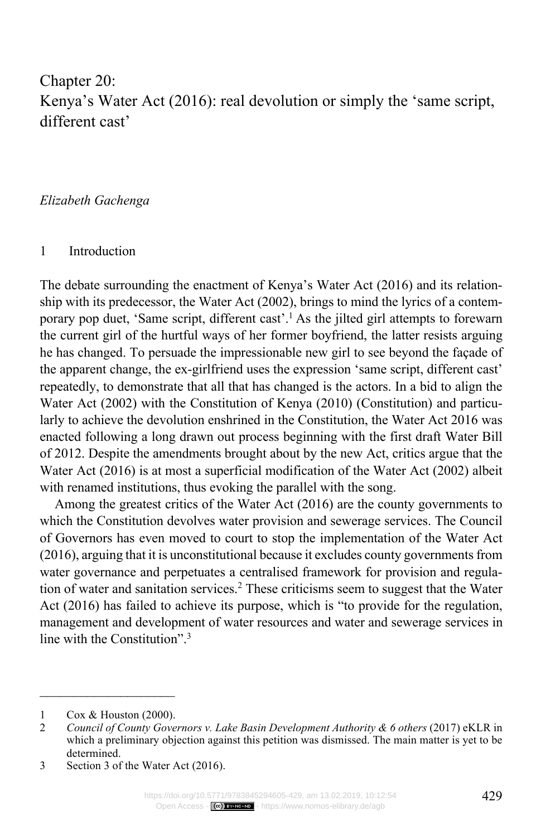# Chapter 20: Kenya's Water Act (2016): real devolution or simply the 'same script, different cast'

*Elizabeth Gachenga*

#### 1 Introduction

The debate surrounding the enactment of Kenya's Water Act (2016) and its relationship with its predecessor, the Water Act (2002), brings to mind the lyrics of a contemporary pop duet, 'Same script, different cast'. <sup>1</sup> As the jilted girl attempts to forewarn the current girl of the hurtful ways of her former boyfriend, the latter resists arguing he has changed. To persuade the impressionable new girl to see beyond the façade of the apparent change, the ex-girlfriend uses the expression 'same script, different cast' repeatedly, to demonstrate that all that has changed is the actors. In a bid to align the Water Act (2002) with the Constitution of Kenya (2010) (Constitution) and particularly to achieve the devolution enshrined in the Constitution, the Water Act 2016 was enacted following a long drawn out process beginning with the first draft Water Bill of 2012. Despite the amendments brought about by the new Act, critics argue that the Water Act (2016) is at most a superficial modification of the Water Act (2002) albeit with renamed institutions, thus evoking the parallel with the song.

Among the greatest critics of the Water Act (2016) are the county governments to which the Constitution devolves water provision and sewerage services. The Council of Governors has even moved to court to stop the implementation of the Water Act (2016), arguing that it is unconstitutional because it excludes county governments from water governance and perpetuates a centralised framework for provision and regulation of water and sanitation services.<sup>2</sup> These criticisms seem to suggest that the Water Act (2016) has failed to achieve its purpose, which is "to provide for the regulation, management and development of water resources and water and sewerage services in line with the Constitution".<sup>3</sup>

 $\frac{1}{2}$  ,  $\frac{1}{2}$  ,  $\frac{1}{2}$  ,  $\frac{1}{2}$  ,  $\frac{1}{2}$  ,  $\frac{1}{2}$  ,  $\frac{1}{2}$  ,  $\frac{1}{2}$  ,  $\frac{1}{2}$  ,  $\frac{1}{2}$ 1 Cox & Houston (2000).

<sup>2</sup> *Council of County Governors v. Lake Basin Development Authority & 6 others* (2017) eKLR in which a preliminary objection against this petition was dismissed. The main matter is yet to be determined.

<sup>3</sup> Section 3 of the Water Act (2016).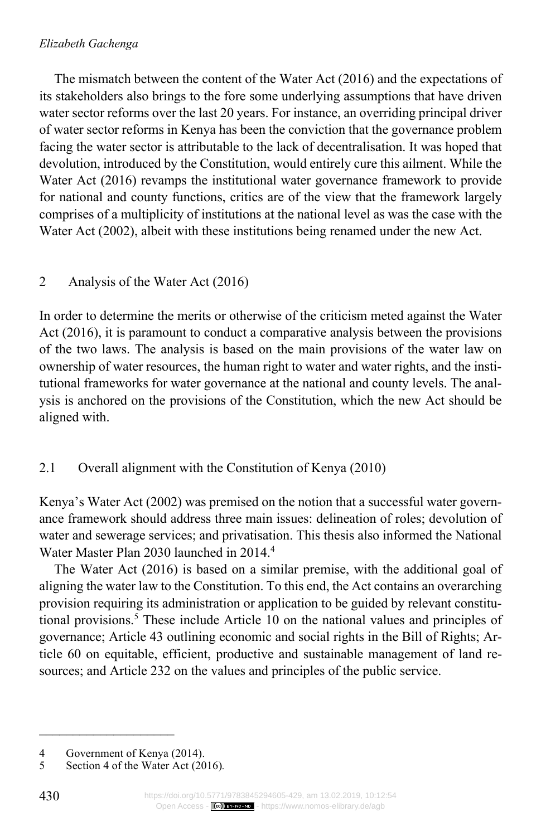### *Elizabeth Gachenga*

The mismatch between the content of the Water Act (2016) and the expectations of its stakeholders also brings to the fore some underlying assumptions that have driven water sector reforms over the last 20 years. For instance, an overriding principal driver of water sector reforms in Kenya has been the conviction that the governance problem facing the water sector is attributable to the lack of decentralisation. It was hoped that devolution, introduced by the Constitution, would entirely cure this ailment. While the Water Act (2016) revamps the institutional water governance framework to provide for national and county functions, critics are of the view that the framework largely comprises of a multiplicity of institutions at the national level as was the case with the Water Act (2002), albeit with these institutions being renamed under the new Act.

# 2 Analysis of the Water Act (2016)

In order to determine the merits or otherwise of the criticism meted against the Water Act (2016), it is paramount to conduct a comparative analysis between the provisions of the two laws. The analysis is based on the main provisions of the water law on ownership of water resources, the human right to water and water rights, and the institutional frameworks for water governance at the national and county levels. The analysis is anchored on the provisions of the Constitution, which the new Act should be aligned with.

# 2.1 Overall alignment with the Constitution of Kenya (2010)

Kenya's Water Act (2002) was premised on the notion that a successful water governance framework should address three main issues: delineation of roles; devolution of water and sewerage services; and privatisation. This thesis also informed the National Water Master Plan 2030 launched in 2014.4

The Water Act (2016) is based on a similar premise, with the additional goal of aligning the water law to the Constitution. To this end, the Act contains an overarching provision requiring its administration or application to be guided by relevant constitutional provisions.<sup>5</sup> These include Article 10 on the national values and principles of governance; Article 43 outlining economic and social rights in the Bill of Rights; Article 60 on equitable, efficient, productive and sustainable management of land resources; and Article 232 on the values and principles of the public service.

 $\mathcal{L}=\mathcal{L}^{\mathcal{L}}$  , where  $\mathcal{L}^{\mathcal{L}}$  , we have the set of the set of the set of the set of the set of the set of the set of the set of the set of the set of the set of the set of the set of the set of the set of

<sup>4</sup> Government of Kenya (2014).<br>5 Section 4 of the Water Act (20

<sup>5</sup> Section 4 of the Water Act (2016)*.*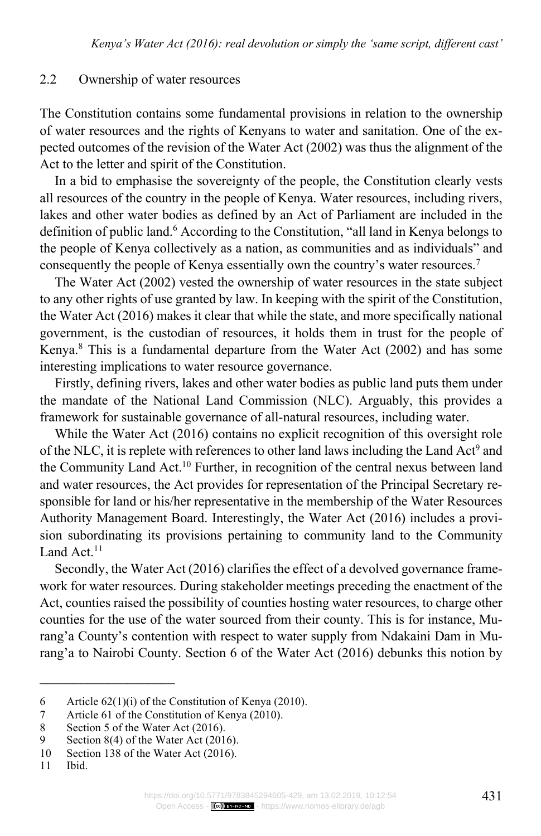#### 2.2 Ownership of water resources

The Constitution contains some fundamental provisions in relation to the ownership of water resources and the rights of Kenyans to water and sanitation. One of the expected outcomes of the revision of the Water Act (2002) was thus the alignment of the Act to the letter and spirit of the Constitution.

In a bid to emphasise the sovereignty of the people, the Constitution clearly vests all resources of the country in the people of Kenya. Water resources, including rivers, lakes and other water bodies as defined by an Act of Parliament are included in the definition of public land.<sup>6</sup> According to the Constitution, "all land in Kenya belongs to the people of Kenya collectively as a nation, as communities and as individuals" and consequently the people of Kenya essentially own the country's water resources.7

The Water Act (2002) vested the ownership of water resources in the state subject to any other rights of use granted by law. In keeping with the spirit of the Constitution, the Water Act (2016) makes it clear that while the state, and more specifically national government, is the custodian of resources, it holds them in trust for the people of Kenya.8 This is a fundamental departure from the Water Act (2002) and has some interesting implications to water resource governance.

Firstly, defining rivers, lakes and other water bodies as public land puts them under the mandate of the National Land Commission (NLC). Arguably, this provides a framework for sustainable governance of all-natural resources, including water.

While the Water Act (2016) contains no explicit recognition of this oversight role of the NLC, it is replete with references to other land laws including the Land Act<sup>9</sup> and the Community Land Act.10 Further, in recognition of the central nexus between land and water resources, the Act provides for representation of the Principal Secretary responsible for land or his/her representative in the membership of the Water Resources Authority Management Board. Interestingly, the Water Act (2016) includes a provision subordinating its provisions pertaining to community land to the Community Land Act.<sup>11</sup>

Secondly, the Water Act (2016) clarifies the effect of a devolved governance framework for water resources. During stakeholder meetings preceding the enactment of the Act, counties raised the possibility of counties hosting water resources, to charge other counties for the use of the water sourced from their county. This is for instance, Murang'a County's contention with respect to water supply from Ndakaini Dam in Murang'a to Nairobi County. Section 6 of the Water Act (2016) debunks this notion by

<sup>6</sup> Article 62(1)(i) of the Constitution of Kenya (2010).

<sup>7</sup> Article 61 of the Constitution of Kenya (2010).

<sup>8</sup> Section 5 of the Water Act (2016).<br>9 Section 8(4) of the Water Act (201

Section  $8(4)$  of the Water Act (2016).

<sup>10</sup> Section 138 of the Water Act (2016).

<sup>11</sup> Ibid.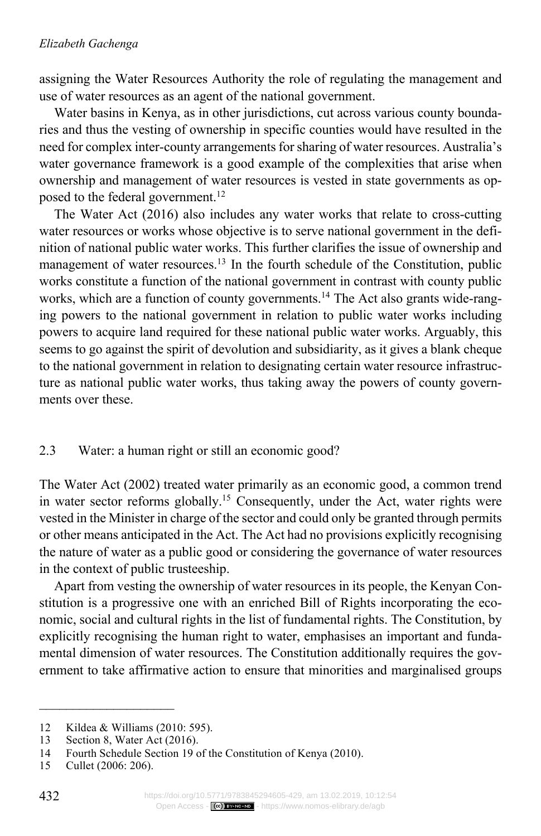assigning the Water Resources Authority the role of regulating the management and use of water resources as an agent of the national government.

Water basins in Kenya, as in other jurisdictions, cut across various county boundaries and thus the vesting of ownership in specific counties would have resulted in the need for complex inter-county arrangements for sharing of water resources. Australia's water governance framework is a good example of the complexities that arise when ownership and management of water resources is vested in state governments as opposed to the federal government.<sup>12</sup>

The Water Act (2016) also includes any water works that relate to cross-cutting water resources or works whose objective is to serve national government in the definition of national public water works. This further clarifies the issue of ownership and management of water resources.<sup>13</sup> In the fourth schedule of the Constitution, public works constitute a function of the national government in contrast with county public works, which are a function of county governments.<sup>14</sup> The Act also grants wide-ranging powers to the national government in relation to public water works including powers to acquire land required for these national public water works. Arguably, this seems to go against the spirit of devolution and subsidiarity, as it gives a blank cheque to the national government in relation to designating certain water resource infrastructure as national public water works, thus taking away the powers of county governments over these.

### 2.3 Water: a human right or still an economic good?

The Water Act (2002) treated water primarily as an economic good, a common trend in water sector reforms globally.15 Consequently, under the Act, water rights were vested in the Minister in charge of the sector and could only be granted through permits or other means anticipated in the Act. The Act had no provisions explicitly recognising the nature of water as a public good or considering the governance of water resources in the context of public trusteeship.

Apart from vesting the ownership of water resources in its people, the Kenyan Constitution is a progressive one with an enriched Bill of Rights incorporating the economic, social and cultural rights in the list of fundamental rights. The Constitution, by explicitly recognising the human right to water, emphasises an important and fundamental dimension of water resources. The Constitution additionally requires the government to take affirmative action to ensure that minorities and marginalised groups

<sup>12</sup> Kildea & Williams (2010: 595).<br>13 Section 8. Water Act (2016).

Section 8, Water Act (2016).

<sup>14</sup> Fourth Schedule Section 19 of the Constitution of Kenya (2010).

<sup>15</sup> Cullet (2006: 206).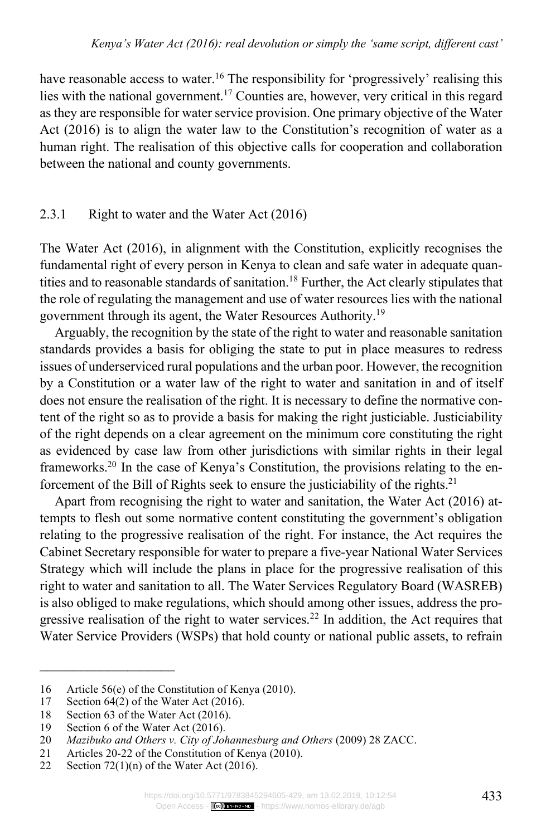have reasonable access to water.<sup>16</sup> The responsibility for 'progressively' realising this lies with the national government.17 Counties are, however, very critical in this regard as they are responsible for water service provision. One primary objective of the Water Act (2016) is to align the water law to the Constitution's recognition of water as a human right. The realisation of this objective calls for cooperation and collaboration between the national and county governments.

### 2.3.1 Right to water and the Water Act (2016)

The Water Act (2016), in alignment with the Constitution, explicitly recognises the fundamental right of every person in Kenya to clean and safe water in adequate quantities and to reasonable standards of sanitation.<sup>18</sup> Further, the Act clearly stipulates that the role of regulating the management and use of water resources lies with the national government through its agent, the Water Resources Authority.19

Arguably, the recognition by the state of the right to water and reasonable sanitation standards provides a basis for obliging the state to put in place measures to redress issues of underserviced rural populations and the urban poor. However, the recognition by a Constitution or a water law of the right to water and sanitation in and of itself does not ensure the realisation of the right. It is necessary to define the normative content of the right so as to provide a basis for making the right justiciable. Justiciability of the right depends on a clear agreement on the minimum core constituting the right as evidenced by case law from other jurisdictions with similar rights in their legal frameworks.20 In the case of Kenya's Constitution, the provisions relating to the enforcement of the Bill of Rights seek to ensure the justiciability of the rights.<sup>21</sup>

Apart from recognising the right to water and sanitation, the Water Act (2016) attempts to flesh out some normative content constituting the government's obligation relating to the progressive realisation of the right. For instance, the Act requires the Cabinet Secretary responsible for water to prepare a five-year National Water Services Strategy which will include the plans in place for the progressive realisation of this right to water and sanitation to all. The Water Services Regulatory Board (WASREB) is also obliged to make regulations, which should among other issues, address the progressive realisation of the right to water services.<sup>22</sup> In addition, the Act requires that Water Service Providers (WSPs) that hold county or national public assets, to refrain

<sup>16</sup> Article 56(e) of the Constitution of Kenya (2010).<br>17 Section 64(2) of the Water Act (2016).

Section  $64(2)$  of the Water Act (2016).

<sup>18</sup> Section 63 of the Water Act (2016).

<sup>19</sup> Section 6 of the Water Act (2016).<br>20 *Mazibuko and Others v. City of Jol* 

<sup>20</sup> *Mazibuko and Others v. City of Johannesburg and Others* (2009) 28 ZACC.

<sup>21</sup> Articles 20-22 of the Constitution of Kenya (2010).<br>22 Section 72(1)(n) of the Water Act (2016).

Section  $72(1)(n)$  of the Water Act  $(2016)$ .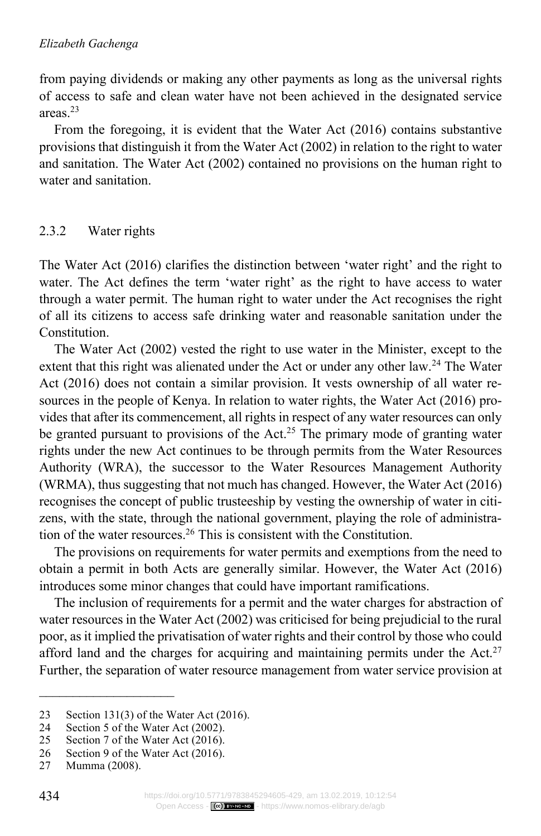from paying dividends or making any other payments as long as the universal rights of access to safe and clean water have not been achieved in the designated service areas<sup>23</sup>

From the foregoing, it is evident that the Water Act (2016) contains substantive provisions that distinguish it from the Water Act (2002) in relation to the right to water and sanitation. The Water Act (2002) contained no provisions on the human right to water and sanitation.

### 2.3.2 Water rights

The Water Act (2016) clarifies the distinction between 'water right' and the right to water. The Act defines the term 'water right' as the right to have access to water through a water permit. The human right to water under the Act recognises the right of all its citizens to access safe drinking water and reasonable sanitation under the **Constitution** 

The Water Act (2002) vested the right to use water in the Minister, except to the extent that this right was alienated under the Act or under any other law.<sup>24</sup> The Water Act (2016) does not contain a similar provision. It vests ownership of all water resources in the people of Kenya. In relation to water rights, the Water Act (2016) provides that after its commencement, all rights in respect of any water resources can only be granted pursuant to provisions of the Act.<sup>25</sup> The primary mode of granting water rights under the new Act continues to be through permits from the Water Resources Authority (WRA), the successor to the Water Resources Management Authority (WRMA), thus suggesting that not much has changed. However, the Water Act (2016) recognises the concept of public trusteeship by vesting the ownership of water in citizens, with the state, through the national government, playing the role of administration of the water resources.26 This is consistent with the Constitution.

The provisions on requirements for water permits and exemptions from the need to obtain a permit in both Acts are generally similar. However, the Water Act (2016) introduces some minor changes that could have important ramifications.

The inclusion of requirements for a permit and the water charges for abstraction of water resources in the Water Act (2002) was criticised for being prejudicial to the rural poor, as it implied the privatisation of water rights and their control by those who could afford land and the charges for acquiring and maintaining permits under the Act.<sup>27</sup> Further, the separation of water resource management from water service provision at

 $\mathcal{L}=\mathcal{L}^{\mathcal{L}}$  , where  $\mathcal{L}^{\mathcal{L}}$  , we have the set of the set of the set of the set of the set of the set of the set of the set of the set of the set of the set of the set of the set of the set of the set of

<sup>23</sup> Section 131(3) of the Water Act (2016).

<sup>24</sup> Section 5 of the Water Act (2002).<br>25 Section 7 of the Water Act (2016).

Section 7 of the Water Act (2016).

<sup>26</sup> Section 9 of the Water Act (2016).

<sup>27</sup> Mumma (2008).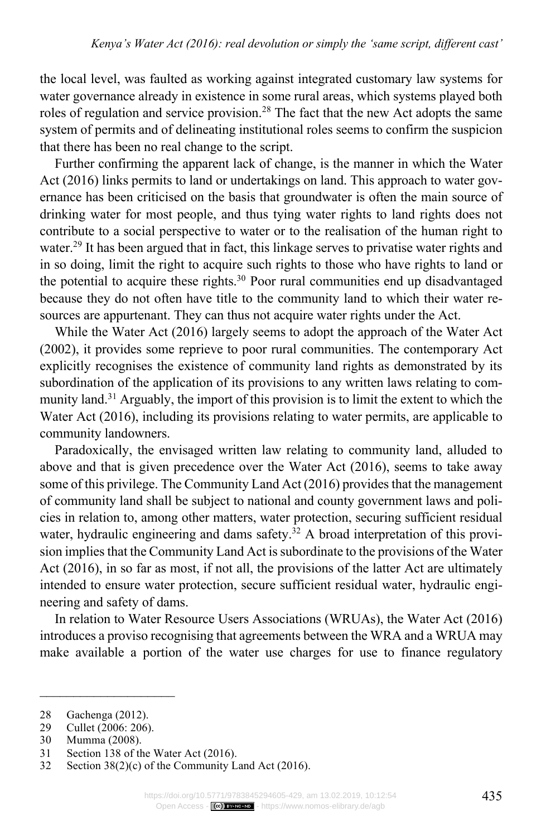the local level, was faulted as working against integrated customary law systems for water governance already in existence in some rural areas, which systems played both roles of regulation and service provision.<sup>28</sup> The fact that the new Act adopts the same system of permits and of delineating institutional roles seems to confirm the suspicion that there has been no real change to the script.

Further confirming the apparent lack of change, is the manner in which the Water Act (2016) links permits to land or undertakings on land. This approach to water governance has been criticised on the basis that groundwater is often the main source of drinking water for most people, and thus tying water rights to land rights does not contribute to a social perspective to water or to the realisation of the human right to water.<sup>29</sup> It has been argued that in fact, this linkage serves to privatise water rights and in so doing, limit the right to acquire such rights to those who have rights to land or the potential to acquire these rights.<sup>30</sup> Poor rural communities end up disadvantaged because they do not often have title to the community land to which their water resources are appurtenant. They can thus not acquire water rights under the Act.

While the Water Act (2016) largely seems to adopt the approach of the Water Act (2002), it provides some reprieve to poor rural communities. The contemporary Act explicitly recognises the existence of community land rights as demonstrated by its subordination of the application of its provisions to any written laws relating to community land.<sup>31</sup> Arguably, the import of this provision is to limit the extent to which the Water Act (2016), including its provisions relating to water permits, are applicable to community landowners.

Paradoxically, the envisaged written law relating to community land, alluded to above and that is given precedence over the Water Act (2016), seems to take away some of this privilege. The Community Land Act (2016) provides that the management of community land shall be subject to national and county government laws and policies in relation to, among other matters, water protection, securing sufficient residual water, hydraulic engineering and dams safety.<sup>32</sup> A broad interpretation of this provision implies that the Community Land Act is subordinate to the provisions of the Water Act (2016), in so far as most, if not all, the provisions of the latter Act are ultimately intended to ensure water protection, secure sufficient residual water, hydraulic engineering and safety of dams.

In relation to Water Resource Users Associations (WRUAs), the Water Act (2016) introduces a proviso recognising that agreements between the WRA and a WRUA may make available a portion of the water use charges for use to finance regulatory

 $\mathcal{L}=\mathcal{L}^{\mathcal{L}}$  , where  $\mathcal{L}^{\mathcal{L}}$  , we have the set of the set of the set of the set of the set of the set of the set of the set of the set of the set of the set of the set of the set of the set of the set of

<sup>28</sup> Gachenga (2012).

<sup>29</sup> Cullet (2006: 206).<br>30 Mumma (2008).

Mumma (2008).

<sup>31</sup> Section 138 of the Water Act (2016).

<sup>32</sup> Section 38(2)(c) of the Community Land Act (2016).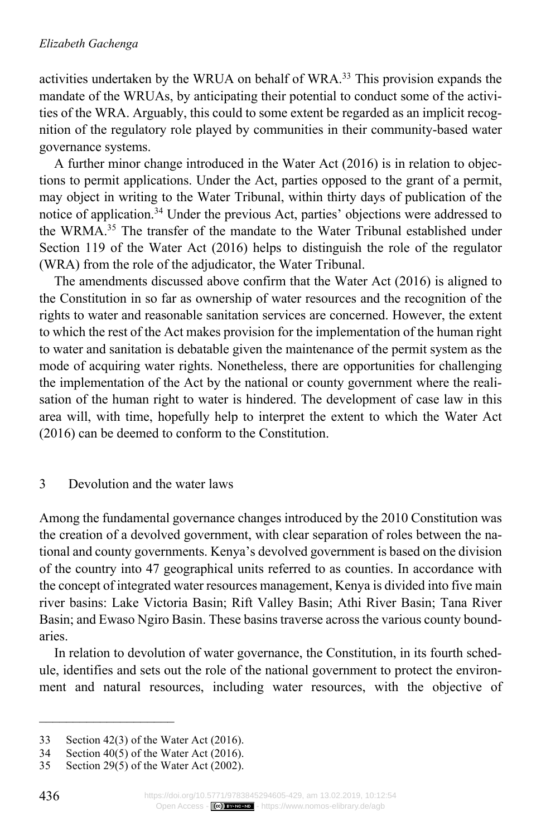activities undertaken by the WRUA on behalf of WRA.33 This provision expands the mandate of the WRUAs, by anticipating their potential to conduct some of the activities of the WRA. Arguably, this could to some extent be regarded as an implicit recognition of the regulatory role played by communities in their community-based water governance systems.

A further minor change introduced in the Water Act (2016) is in relation to objections to permit applications. Under the Act, parties opposed to the grant of a permit, may object in writing to the Water Tribunal, within thirty days of publication of the notice of application.34 Under the previous Act, parties' objections were addressed to the WRMA.35 The transfer of the mandate to the Water Tribunal established under Section 119 of the Water Act (2016) helps to distinguish the role of the regulator (WRA) from the role of the adjudicator, the Water Tribunal.

The amendments discussed above confirm that the Water Act (2016) is aligned to the Constitution in so far as ownership of water resources and the recognition of the rights to water and reasonable sanitation services are concerned. However, the extent to which the rest of the Act makes provision for the implementation of the human right to water and sanitation is debatable given the maintenance of the permit system as the mode of acquiring water rights. Nonetheless, there are opportunities for challenging the implementation of the Act by the national or county government where the realisation of the human right to water is hindered. The development of case law in this area will, with time, hopefully help to interpret the extent to which the Water Act (2016) can be deemed to conform to the Constitution.

### 3 Devolution and the water laws

Among the fundamental governance changes introduced by the 2010 Constitution was the creation of a devolved government, with clear separation of roles between the national and county governments. Kenya's devolved government is based on the division of the country into 47 geographical units referred to as counties. In accordance with the concept of integrated water resources management, Kenya is divided into five main river basins: Lake Victoria Basin; Rift Valley Basin; Athi River Basin; Tana River Basin; and Ewaso Ngiro Basin. These basins traverse across the various county boundaries.

In relation to devolution of water governance, the Constitution, in its fourth schedule, identifies and sets out the role of the national government to protect the environment and natural resources, including water resources, with the objective of

<sup>33</sup> Section 42(3) of the Water Act (2016).

<sup>34</sup> Section 40(5) of the Water Act (2016).

<sup>35</sup> Section 29(5) of the Water Act (2002).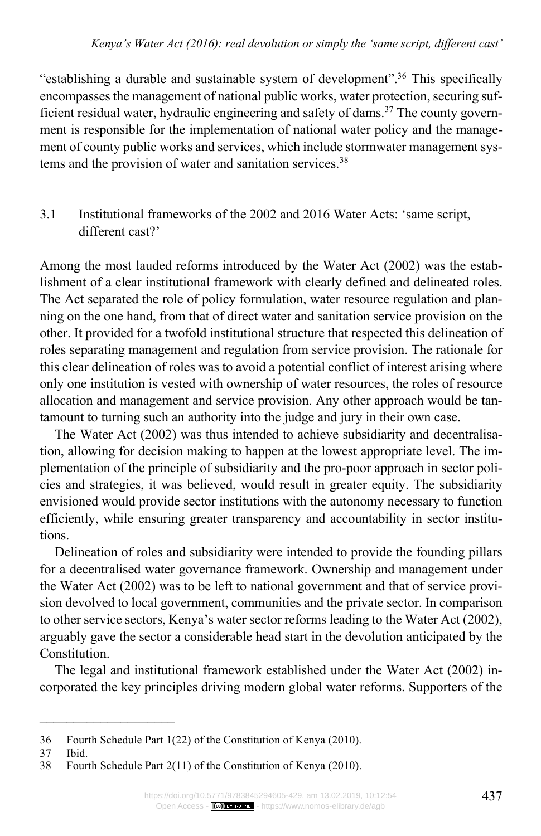"establishing a durable and sustainable system of development".36 This specifically encompasses the management of national public works, water protection, securing sufficient residual water, hydraulic engineering and safety of dams.<sup>37</sup> The county government is responsible for the implementation of national water policy and the management of county public works and services, which include stormwater management systems and the provision of water and sanitation services.<sup>38</sup>

### 3.1 Institutional frameworks of the 2002 and 2016 Water Acts: 'same script, different cast?'

Among the most lauded reforms introduced by the Water Act (2002) was the establishment of a clear institutional framework with clearly defined and delineated roles. The Act separated the role of policy formulation, water resource regulation and planning on the one hand, from that of direct water and sanitation service provision on the other. It provided for a twofold institutional structure that respected this delineation of roles separating management and regulation from service provision. The rationale for this clear delineation of roles was to avoid a potential conflict of interest arising where only one institution is vested with ownership of water resources, the roles of resource allocation and management and service provision. Any other approach would be tantamount to turning such an authority into the judge and jury in their own case.

The Water Act (2002) was thus intended to achieve subsidiarity and decentralisation, allowing for decision making to happen at the lowest appropriate level. The implementation of the principle of subsidiarity and the pro-poor approach in sector policies and strategies, it was believed, would result in greater equity. The subsidiarity envisioned would provide sector institutions with the autonomy necessary to function efficiently, while ensuring greater transparency and accountability in sector institutions.

Delineation of roles and subsidiarity were intended to provide the founding pillars for a decentralised water governance framework. Ownership and management under the Water Act (2002) was to be left to national government and that of service provision devolved to local government, communities and the private sector. In comparison to other service sectors, Kenya's water sector reforms leading to the Water Act (2002), arguably gave the sector a considerable head start in the devolution anticipated by the Constitution.

The legal and institutional framework established under the Water Act (2002) incorporated the key principles driving modern global water reforms. Supporters of the

<sup>36</sup> Fourth Schedule Part 1(22) of the Constitution of Kenya (2010).

<sup>37</sup> Ibid.

<sup>38</sup> Fourth Schedule Part 2(11) of the Constitution of Kenya (2010).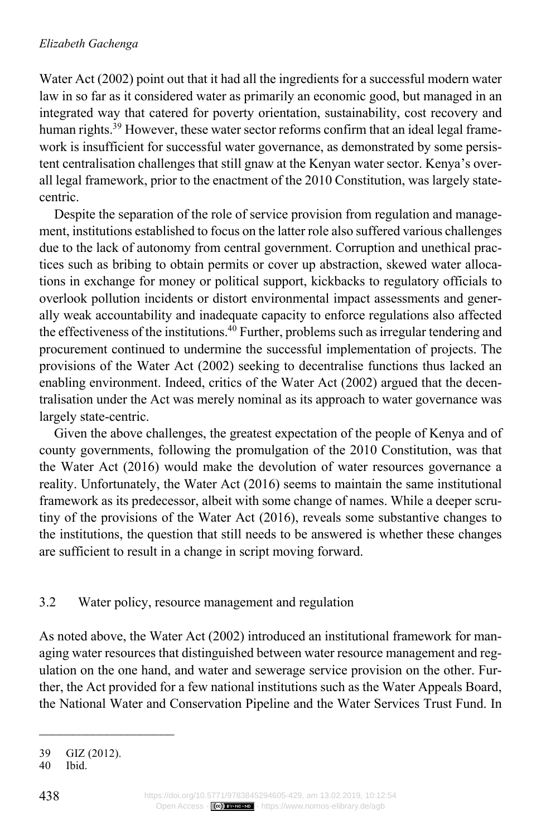Water Act (2002) point out that it had all the ingredients for a successful modern water law in so far as it considered water as primarily an economic good, but managed in an integrated way that catered for poverty orientation, sustainability, cost recovery and human rights.<sup>39</sup> However, these water sector reforms confirm that an ideal legal framework is insufficient for successful water governance, as demonstrated by some persistent centralisation challenges that still gnaw at the Kenyan water sector. Kenya's overall legal framework, prior to the enactment of the 2010 Constitution, was largely statecentric.

Despite the separation of the role of service provision from regulation and management, institutions established to focus on the latter role also suffered various challenges due to the lack of autonomy from central government. Corruption and unethical practices such as bribing to obtain permits or cover up abstraction, skewed water allocations in exchange for money or political support, kickbacks to regulatory officials to overlook pollution incidents or distort environmental impact assessments and generally weak accountability and inadequate capacity to enforce regulations also affected the effectiveness of the institutions.40 Further, problems such as irregular tendering and procurement continued to undermine the successful implementation of projects. The provisions of the Water Act (2002) seeking to decentralise functions thus lacked an enabling environment. Indeed, critics of the Water Act (2002) argued that the decentralisation under the Act was merely nominal as its approach to water governance was largely state-centric.

Given the above challenges, the greatest expectation of the people of Kenya and of county governments, following the promulgation of the 2010 Constitution, was that the Water Act (2016) would make the devolution of water resources governance a reality. Unfortunately, the Water Act (2016) seems to maintain the same institutional framework as its predecessor, albeit with some change of names. While a deeper scrutiny of the provisions of the Water Act (2016), reveals some substantive changes to the institutions, the question that still needs to be answered is whether these changes are sufficient to result in a change in script moving forward.

# 3.2 Water policy, resource management and regulation

As noted above, the Water Act (2002) introduced an institutional framework for managing water resources that distinguished between water resource management and regulation on the one hand, and water and sewerage service provision on the other. Further, the Act provided for a few national institutions such as the Water Appeals Board, the National Water and Conservation Pipeline and the Water Services Trust Fund. In

 $\mathcal{L}_\text{max}$  and  $\mathcal{L}_\text{max}$  and  $\mathcal{L}_\text{max}$ 

<sup>39</sup> GIZ (2012).

<sup>40</sup> Ibid.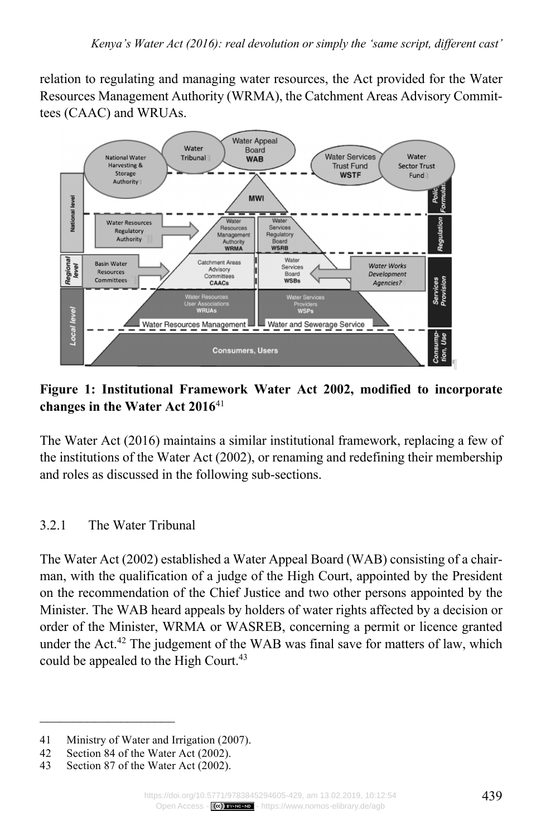relation to regulating and managing water resources, the Act provided for the Water Resources Management Authority (WRMA), the Catchment Areas Advisory Committees (CAAC) and WRUAs.



# **Figure 1: Institutional Framework Water Act 2002, modified to incorporate changes in the Water Act 2016**<sup>41</sup>

The Water Act (2016) maintains a similar institutional framework, replacing a few of the institutions of the Water Act (2002), or renaming and redefining their membership and roles as discussed in the following sub-sections.

# 3.2.1 The Water Tribunal

The Water Act (2002) established a Water Appeal Board (WAB) consisting of a chairman, with the qualification of a judge of the High Court, appointed by the President on the recommendation of the Chief Justice and two other persons appointed by the Minister. The WAB heard appeals by holders of water rights affected by a decision or order of the Minister, WRMA or WASREB, concerning a permit or licence granted under the Act.<sup>42</sup> The judgement of the WAB was final save for matters of law, which could be appealed to the High Court.<sup>43</sup>

<sup>41</sup> Ministry of Water and Irrigation (2007).

<sup>42</sup> Section 84 of the Water Act (2002).<br>43 Section 87 of the Water Act (2002).

Section 87 of the Water Act (2002).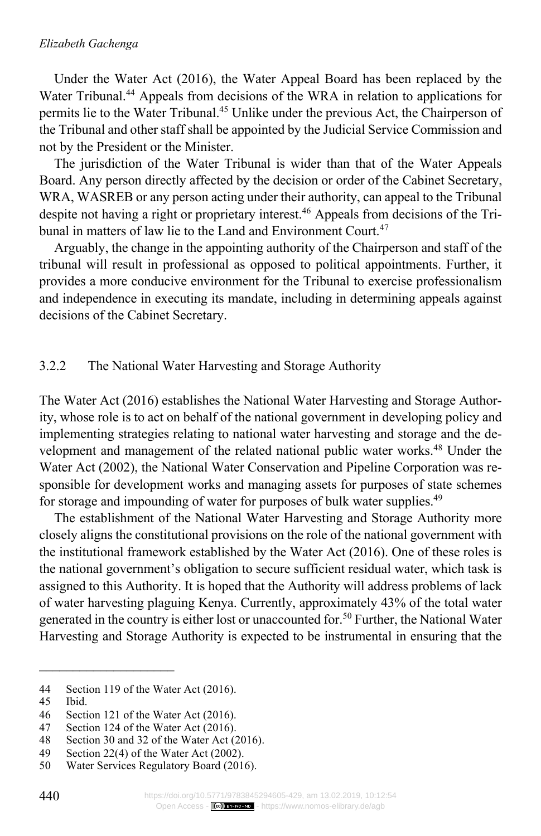#### *Elizabeth Gachenga*

Under the Water Act (2016), the Water Appeal Board has been replaced by the Water Tribunal.<sup>44</sup> Appeals from decisions of the WRA in relation to applications for permits lie to the Water Tribunal.45 Unlike under the previous Act, the Chairperson of the Tribunal and other staff shall be appointed by the Judicial Service Commission and not by the President or the Minister.

The jurisdiction of the Water Tribunal is wider than that of the Water Appeals Board. Any person directly affected by the decision or order of the Cabinet Secretary, WRA, WASREB or any person acting under their authority, can appeal to the Tribunal despite not having a right or proprietary interest.<sup>46</sup> Appeals from decisions of the Tribunal in matters of law lie to the Land and Environment Court.<sup>47</sup>

Arguably, the change in the appointing authority of the Chairperson and staff of the tribunal will result in professional as opposed to political appointments. Further, it provides a more conducive environment for the Tribunal to exercise professionalism and independence in executing its mandate, including in determining appeals against decisions of the Cabinet Secretary.

### 3.2.2 The National Water Harvesting and Storage Authority

The Water Act (2016) establishes the National Water Harvesting and Storage Authority, whose role is to act on behalf of the national government in developing policy and implementing strategies relating to national water harvesting and storage and the development and management of the related national public water works.<sup>48</sup> Under the Water Act (2002), the National Water Conservation and Pipeline Corporation was responsible for development works and managing assets for purposes of state schemes for storage and impounding of water for purposes of bulk water supplies.<sup>49</sup>

The establishment of the National Water Harvesting and Storage Authority more closely aligns the constitutional provisions on the role of the national government with the institutional framework established by the Water Act (2016). One of these roles is the national government's obligation to secure sufficient residual water, which task is assigned to this Authority. It is hoped that the Authority will address problems of lack of water harvesting plaguing Kenya. Currently, approximately 43% of the total water generated in the country is either lost or unaccounted for.50 Further, the National Water Harvesting and Storage Authority is expected to be instrumental in ensuring that the

<sup>44</sup> Section 119 of the Water Act (2016).<br>45 Ibid.

Ibid.

<sup>46</sup> Section 121 of the Water Act (2016).

<sup>47</sup> Section 124 of the Water Act (2016).<br>48 Section 30 and 32 of the Water Act (2016).

Section 30 and 32 of the Water Act (2016).

<sup>49</sup> Section 22(4) of the Water Act (2002).

<sup>50</sup> Water Services Regulatory Board (2016).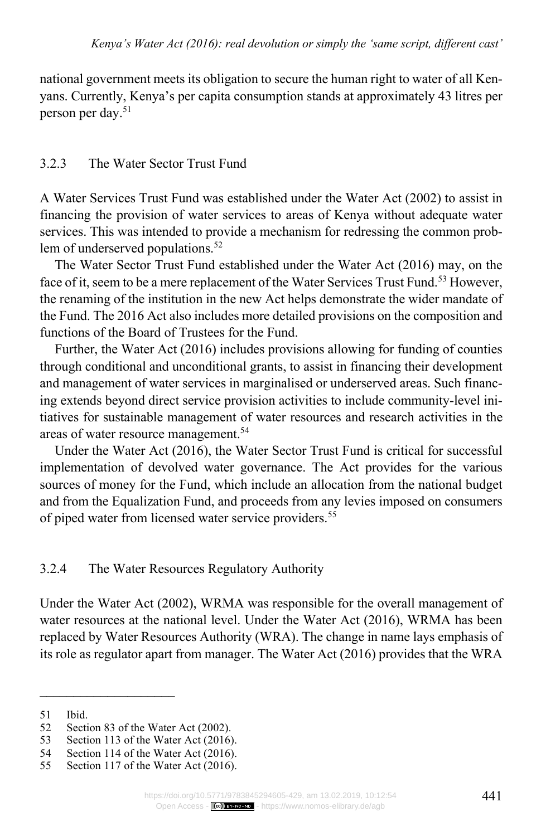national government meets its obligation to secure the human right to water of all Kenyans. Currently, Kenya's per capita consumption stands at approximately 43 litres per person per day.51

## 3.2.3 The Water Sector Trust Fund

A Water Services Trust Fund was established under the Water Act (2002) to assist in financing the provision of water services to areas of Kenya without adequate water services. This was intended to provide a mechanism for redressing the common problem of underserved populations.<sup>52</sup>

The Water Sector Trust Fund established under the Water Act (2016) may, on the face of it, seem to be a mere replacement of the Water Services Trust Fund.<sup>53</sup> However, the renaming of the institution in the new Act helps demonstrate the wider mandate of the Fund. The 2016 Act also includes more detailed provisions on the composition and functions of the Board of Trustees for the Fund.

Further, the Water Act (2016) includes provisions allowing for funding of counties through conditional and unconditional grants, to assist in financing their development and management of water services in marginalised or underserved areas. Such financing extends beyond direct service provision activities to include community-level initiatives for sustainable management of water resources and research activities in the areas of water resource management.54

Under the Water Act (2016), the Water Sector Trust Fund is critical for successful implementation of devolved water governance. The Act provides for the various sources of money for the Fund, which include an allocation from the national budget and from the Equalization Fund, and proceeds from any levies imposed on consumers of piped water from licensed water service providers.<sup>55</sup>

### 3.2.4 The Water Resources Regulatory Authority

Under the Water Act (2002), WRMA was responsible for the overall management of water resources at the national level. Under the Water Act (2016), WRMA has been replaced by Water Resources Authority (WRA). The change in name lays emphasis of its role as regulator apart from manager. The Water Act (2016) provides that the WRA

 $\mathcal{L}=\mathcal{L}^{\mathcal{L}}$  , where  $\mathcal{L}^{\mathcal{L}}$  , we have the set of the set of the set of the set of the set of the set of the set of the set of the set of the set of the set of the set of the set of the set of the set of

<sup>51</sup> Ibid.

<sup>52</sup> Section 83 of the Water Act (2002).<br>53 Section 113 of the Water Act (2016)

Section 113 of the Water Act (2016).

<sup>54</sup> Section 114 of the Water Act (2016).<br>55 Section 117 of the Water Act (2016).

Section 117 of the Water Act (2016).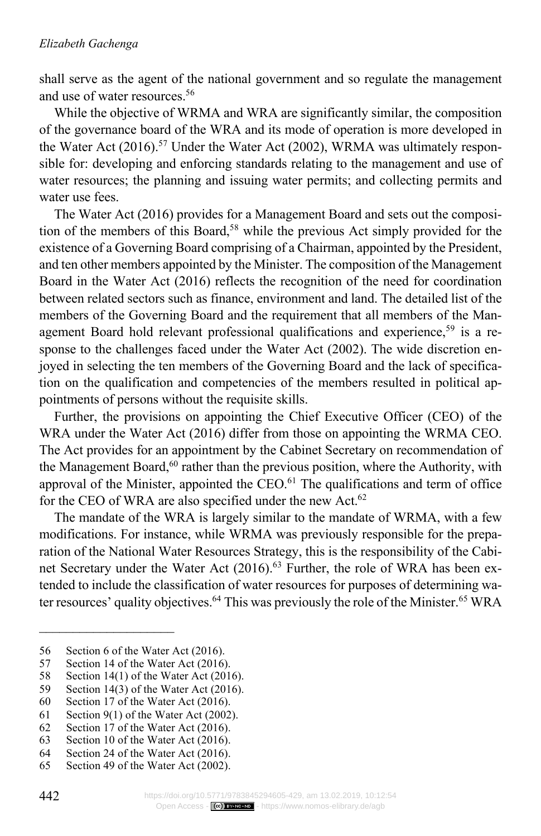shall serve as the agent of the national government and so regulate the management and use of water resources.56

While the objective of WRMA and WRA are significantly similar, the composition of the governance board of the WRA and its mode of operation is more developed in the Water Act (2016).<sup>57</sup> Under the Water Act (2002), WRMA was ultimately responsible for: developing and enforcing standards relating to the management and use of water resources; the planning and issuing water permits; and collecting permits and water use fees.

The Water Act (2016) provides for a Management Board and sets out the composition of the members of this Board,<sup>58</sup> while the previous Act simply provided for the existence of a Governing Board comprising of a Chairman, appointed by the President, and ten other members appointed by the Minister. The composition of the Management Board in the Water Act (2016) reflects the recognition of the need for coordination between related sectors such as finance, environment and land. The detailed list of the members of the Governing Board and the requirement that all members of the Management Board hold relevant professional qualifications and experience,<sup>59</sup> is a response to the challenges faced under the Water Act (2002). The wide discretion enjoyed in selecting the ten members of the Governing Board and the lack of specification on the qualification and competencies of the members resulted in political appointments of persons without the requisite skills.

Further, the provisions on appointing the Chief Executive Officer (CEO) of the WRA under the Water Act (2016) differ from those on appointing the WRMA CEO. The Act provides for an appointment by the Cabinet Secretary on recommendation of the Management Board,<sup>60</sup> rather than the previous position, where the Authority, with approval of the Minister, appointed the CEO.<sup>61</sup> The qualifications and term of office for the CEO of WRA are also specified under the new Act.<sup>62</sup>

The mandate of the WRA is largely similar to the mandate of WRMA, with a few modifications. For instance, while WRMA was previously responsible for the preparation of the National Water Resources Strategy, this is the responsibility of the Cabinet Secretary under the Water Act (2016). <sup>63</sup> Further, the role of WRA has been extended to include the classification of water resources for purposes of determining water resources' quality objectives.<sup>64</sup> This was previously the role of the Minister.<sup>65</sup> WRA

<sup>56</sup> Section 6 of the Water Act (2016).

<sup>57</sup> Section 14 of the Water Act (2016).

<sup>58</sup> Section 14(1) of the Water Act (2016).<br>59 Section 14(3) of the Water Act (2016).

<sup>59</sup> Section 14(3) of the Water Act (2016).<br>60 Section 17 of the Water Act (2016).

Section 17 of the Water Act (2016).

<sup>61</sup> Section 9(1) of the Water Act (2002).

<sup>62</sup> Section 17 of the Water Act (2016).<br>63 Section 10 of the Water Act (2016).

Section 10 of the Water Act (2016).

<sup>64</sup> Section 24 of the Water Act (2016).

<sup>65</sup> Section 49 of the Water Act (2002).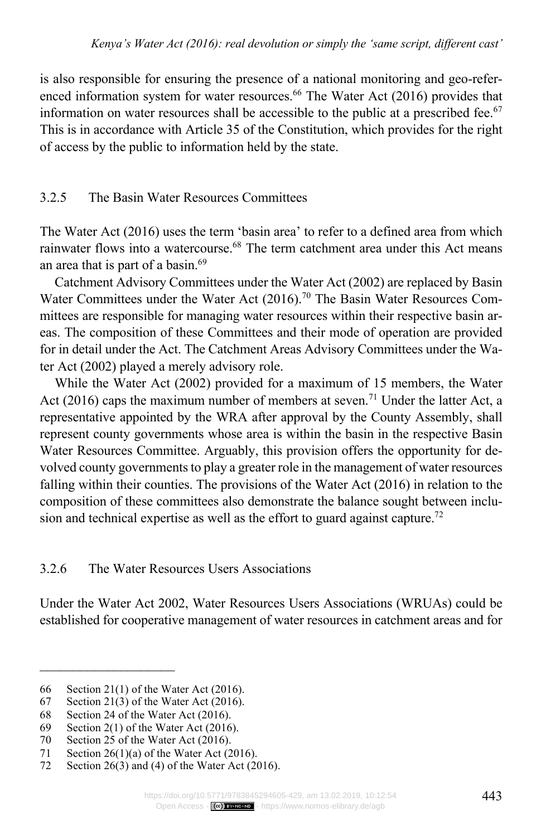is also responsible for ensuring the presence of a national monitoring and geo-referenced information system for water resources.<sup>66</sup> The Water Act (2016) provides that information on water resources shall be accessible to the public at a prescribed fee.<sup>67</sup> This is in accordance with Article 35 of the Constitution, which provides for the right of access by the public to information held by the state.

# 3.2.5 The Basin Water Resources Committees

The Water Act (2016) uses the term 'basin area' to refer to a defined area from which rainwater flows into a watercourse.<sup>68</sup> The term catchment area under this Act means an area that is part of a basin.69

Catchment Advisory Committees under the Water Act (2002) are replaced by Basin Water Committees under the Water Act (2016).<sup>70</sup> The Basin Water Resources Committees are responsible for managing water resources within their respective basin areas. The composition of these Committees and their mode of operation are provided for in detail under the Act. The Catchment Areas Advisory Committees under the Water Act (2002) played a merely advisory role.

While the Water Act (2002) provided for a maximum of 15 members, the Water Act (2016) caps the maximum number of members at seven.<sup>71</sup> Under the latter Act, a representative appointed by the WRA after approval by the County Assembly, shall represent county governments whose area is within the basin in the respective Basin Water Resources Committee. Arguably, this provision offers the opportunity for devolved county governments to play a greater role in the management of water resources falling within their counties. The provisions of the Water Act (2016) in relation to the composition of these committees also demonstrate the balance sought between inclusion and technical expertise as well as the effort to guard against capture.<sup>72</sup>

3.2.6 The Water Resources Users Associations

Under the Water Act 2002, Water Resources Users Associations (WRUAs) could be established for cooperative management of water resources in catchment areas and for

<sup>66</sup> Section 21(1) of the Water Act (2016).

<sup>67</sup> Section 21(3) of the Water Act (2016).

<sup>68</sup> Section 24 of the Water Act (2016).

<sup>69</sup> Section 2(1) of the Water Act (2016).<br>70 Section 25 of the Water Act (2016).

Section 25 of the Water Act (2016).

<sup>71</sup> Section 26(1)(a) of the Water Act (2016).<br>72 Section 26(3) and (4) of the Water Act (20

Section  $26(3)$  and (4) of the Water Act (2016).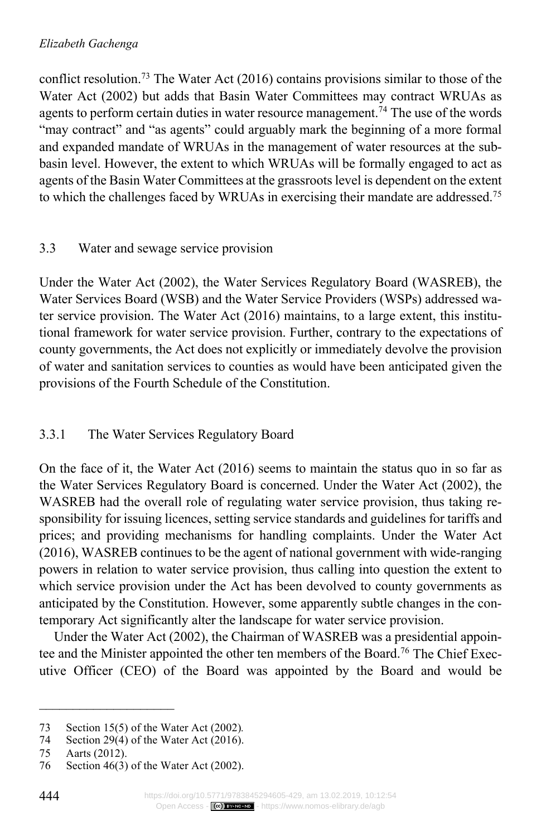conflict resolution.73 The Water Act (2016) contains provisions similar to those of the Water Act (2002) but adds that Basin Water Committees may contract WRUAs as agents to perform certain duties in water resource management.<sup>74</sup> The use of the words "may contract" and "as agents" could arguably mark the beginning of a more formal and expanded mandate of WRUAs in the management of water resources at the subbasin level. However, the extent to which WRUAs will be formally engaged to act as agents of the Basin Water Committees at the grassroots level is dependent on the extent to which the challenges faced by WRUAs in exercising their mandate are addressed.75

# 3.3 Water and sewage service provision

Under the Water Act (2002), the Water Services Regulatory Board (WASREB), the Water Services Board (WSB) and the Water Service Providers (WSPs) addressed water service provision. The Water Act (2016) maintains, to a large extent, this institutional framework for water service provision. Further, contrary to the expectations of county governments, the Act does not explicitly or immediately devolve the provision of water and sanitation services to counties as would have been anticipated given the provisions of the Fourth Schedule of the Constitution.

# 3.3.1 The Water Services Regulatory Board

On the face of it, the Water Act (2016) seems to maintain the status quo in so far as the Water Services Regulatory Board is concerned. Under the Water Act (2002), the WASREB had the overall role of regulating water service provision, thus taking responsibility for issuing licences, setting service standards and guidelines for tariffs and prices; and providing mechanisms for handling complaints. Under the Water Act (2016), WASREB continues to be the agent of national government with wide-ranging powers in relation to water service provision, thus calling into question the extent to which service provision under the Act has been devolved to county governments as anticipated by the Constitution. However, some apparently subtle changes in the contemporary Act significantly alter the landscape for water service provision.

Under the Water Act (2002), the Chairman of WASREB was a presidential appointee and the Minister appointed the other ten members of the Board.76 The Chief Executive Officer (CEO) of the Board was appointed by the Board and would be

<sup>73</sup> Section 15(5) of the Water Act (2002)*.*

Section 29(4) of the Water Act  $(2016)$ .

<sup>75</sup> Aarts (2012).

<sup>76</sup> Section 46(3) of the Water Act (2002).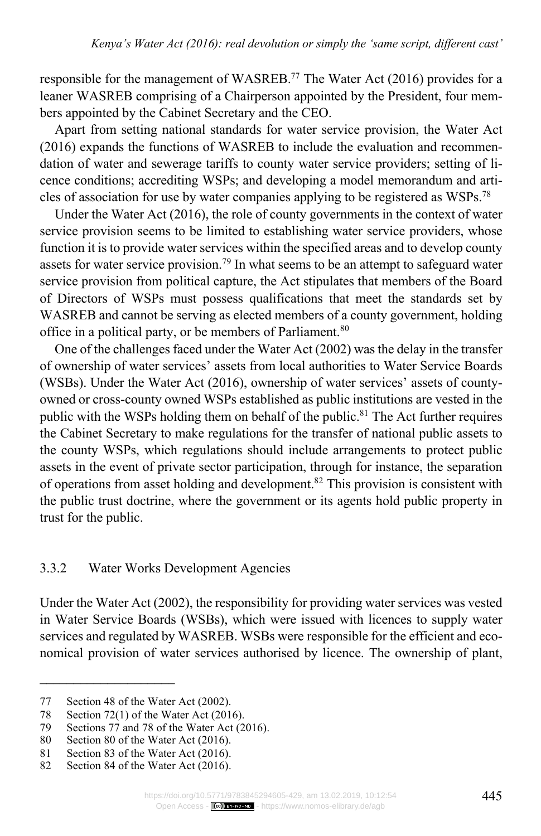responsible for the management of WASREB.77 The Water Act (2016) provides for a leaner WASREB comprising of a Chairperson appointed by the President, four members appointed by the Cabinet Secretary and the CEO.

Apart from setting national standards for water service provision, the Water Act (2016) expands the functions of WASREB to include the evaluation and recommendation of water and sewerage tariffs to county water service providers; setting of licence conditions; accrediting WSPs; and developing a model memorandum and articles of association for use by water companies applying to be registered as WSPs.78

Under the Water Act (2016), the role of county governments in the context of water service provision seems to be limited to establishing water service providers, whose function it is to provide water services within the specified areas and to develop county assets for water service provision.<sup>79</sup> In what seems to be an attempt to safeguard water service provision from political capture, the Act stipulates that members of the Board of Directors of WSPs must possess qualifications that meet the standards set by WASREB and cannot be serving as elected members of a county government, holding office in a political party, or be members of Parliament.<sup>80</sup>

One of the challenges faced under the Water Act (2002) was the delay in the transfer of ownership of water services' assets from local authorities to Water Service Boards (WSBs). Under the Water Act (2016), ownership of water services' assets of countyowned or cross-county owned WSPs established as public institutions are vested in the public with the WSPs holding them on behalf of the public.<sup>81</sup> The Act further requires the Cabinet Secretary to make regulations for the transfer of national public assets to the county WSPs, which regulations should include arrangements to protect public assets in the event of private sector participation, through for instance, the separation of operations from asset holding and development.82 This provision is consistent with the public trust doctrine, where the government or its agents hold public property in trust for the public.

### 3.3.2 Water Works Development Agencies

Under the Water Act (2002), the responsibility for providing water services was vested in Water Service Boards (WSBs), which were issued with licences to supply water services and regulated by WASREB. WSBs were responsible for the efficient and economical provision of water services authorised by licence. The ownership of plant,

<sup>77</sup> Section 48 of the Water Act (2002).

<sup>78</sup> Section 72(1) of the Water Act (2016).

<sup>79</sup> Sections 77 and 78 of the Water Act (2016).<br>80 Section 80 of the Water Act (2016).

Section 80 of the Water Act (2016).

<sup>81</sup> Section 83 of the Water Act (2016).

<sup>82</sup> Section 84 of the Water Act (2016).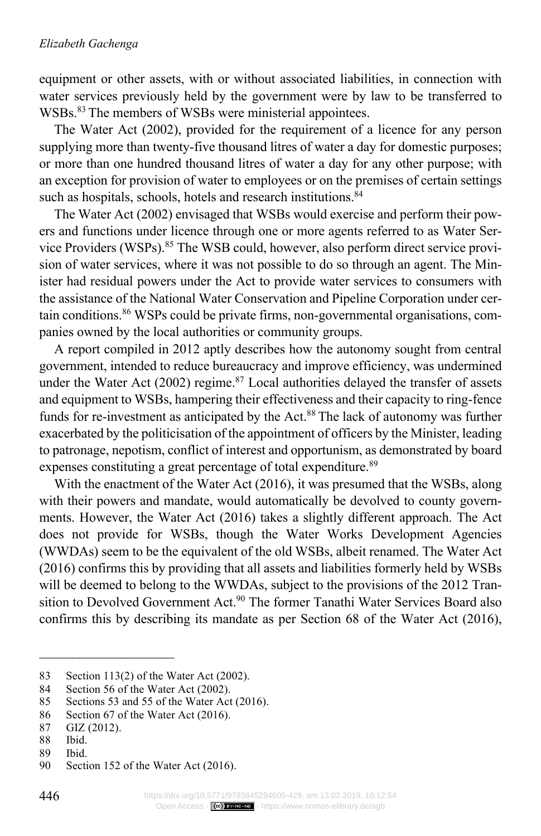equipment or other assets, with or without associated liabilities, in connection with water services previously held by the government were by law to be transferred to WSBs.<sup>83</sup> The members of WSBs were ministerial appointees.

The Water Act (2002), provided for the requirement of a licence for any person supplying more than twenty-five thousand litres of water a day for domestic purposes; or more than one hundred thousand litres of water a day for any other purpose; with an exception for provision of water to employees or on the premises of certain settings such as hospitals, schools, hotels and research institutions.<sup>84</sup>

The Water Act (2002) envisaged that WSBs would exercise and perform their powers and functions under licence through one or more agents referred to as Water Service Providers (WSPs).85 The WSB could, however, also perform direct service provision of water services, where it was not possible to do so through an agent. The Minister had residual powers under the Act to provide water services to consumers with the assistance of the National Water Conservation and Pipeline Corporation under certain conditions.86 WSPs could be private firms, non-governmental organisations, companies owned by the local authorities or community groups.

A report compiled in 2012 aptly describes how the autonomy sought from central government, intended to reduce bureaucracy and improve efficiency, was undermined under the Water Act (2002) regime. $87$  Local authorities delayed the transfer of assets and equipment to WSBs, hampering their effectiveness and their capacity to ring-fence funds for re-investment as anticipated by the Act.<sup>88</sup> The lack of autonomy was further exacerbated by the politicisation of the appointment of officers by the Minister, leading to patronage, nepotism, conflict of interest and opportunism, as demonstrated by board expenses constituting a great percentage of total expenditure.<sup>89</sup>

With the enactment of the Water Act (2016), it was presumed that the WSBs, along with their powers and mandate, would automatically be devolved to county governments. However, the Water Act (2016) takes a slightly different approach. The Act does not provide for WSBs, though the Water Works Development Agencies (WWDAs) seem to be the equivalent of the old WSBs, albeit renamed. The Water Act (2016) confirms this by providing that all assets and liabilities formerly held by WSBs will be deemed to belong to the WWDAs, subject to the provisions of the 2012 Transition to Devolved Government Act.<sup>90</sup> The former Tanathi Water Services Board also confirms this by describing its mandate as per Section 68 of the Water Act (2016),

<sup>83</sup> Section 113(2) of the Water Act (2002).<br>84 Section 56 of the Water Act (2002).

<sup>84</sup> Section 56 of the Water Act (2002).<br>85 Sections 53 and 55 of the Water Act

Sections 53 and 55 of the Water Act (2016).

<sup>86</sup> Section 67 of the Water Act (2016).

<sup>87</sup> GIZ (2012).

Ibid.

<sup>89</sup> Ibid.

<sup>90</sup> Section 152 of the Water Act (2016).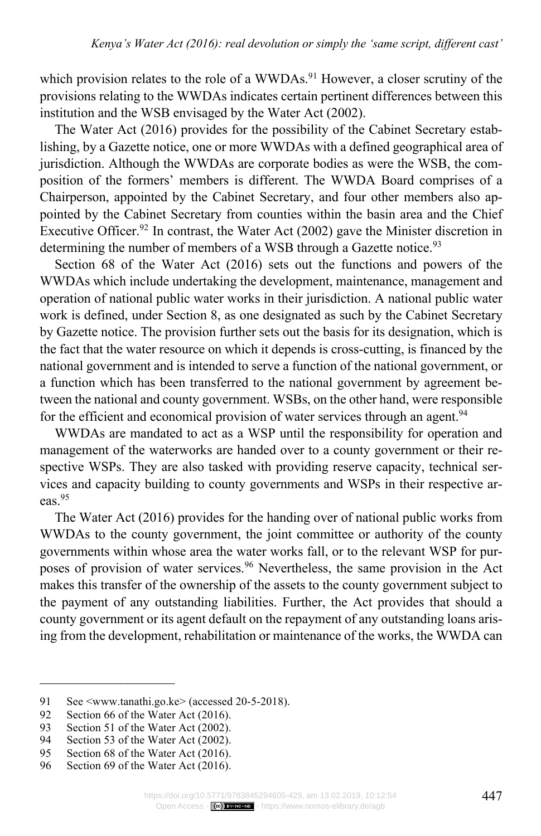which provision relates to the role of a WWDAs.<sup>91</sup> However, a closer scrutiny of the provisions relating to the WWDAs indicates certain pertinent differences between this institution and the WSB envisaged by the Water Act (2002).

The Water Act (2016) provides for the possibility of the Cabinet Secretary establishing, by a Gazette notice, one or more WWDAs with a defined geographical area of jurisdiction. Although the WWDAs are corporate bodies as were the WSB, the composition of the formers' members is different. The WWDA Board comprises of a Chairperson, appointed by the Cabinet Secretary, and four other members also appointed by the Cabinet Secretary from counties within the basin area and the Chief Executive Officer.<sup>92</sup> In contrast, the Water Act (2002) gave the Minister discretion in determining the number of members of a WSB through a Gazette notice.<sup>93</sup>

Section 68 of the Water Act (2016) sets out the functions and powers of the WWDAs which include undertaking the development, maintenance, management and operation of national public water works in their jurisdiction. A national public water work is defined, under Section 8, as one designated as such by the Cabinet Secretary by Gazette notice. The provision further sets out the basis for its designation, which is the fact that the water resource on which it depends is cross-cutting, is financed by the national government and is intended to serve a function of the national government, or a function which has been transferred to the national government by agreement between the national and county government. WSBs, on the other hand, were responsible for the efficient and economical provision of water services through an agent.<sup>94</sup>

WWDAs are mandated to act as a WSP until the responsibility for operation and management of the waterworks are handed over to a county government or their respective WSPs. They are also tasked with providing reserve capacity, technical services and capacity building to county governments and WSPs in their respective areas.95

The Water Act (2016) provides for the handing over of national public works from WWDAs to the county government, the joint committee or authority of the county governments within whose area the water works fall, or to the relevant WSP for purposes of provision of water services.<sup>96</sup> Nevertheless, the same provision in the Act makes this transfer of the ownership of the assets to the county government subject to the payment of any outstanding liabilities. Further, the Act provides that should a county government or its agent default on the repayment of any outstanding loans arising from the development, rehabilitation or maintenance of the works, the WWDA can

<sup>91</sup> See <www.tanathi.go.ke> (accessed 20-5-2018).

<sup>92</sup> Section 66 of the Water Act (2016).

<sup>93</sup> Section 51 of the Water Act (2002).<br>94 Section 53 of the Water Act (2002).

Section 53 of the Water Act (2002).

<sup>95</sup> Section 68 of the Water Act (2016).<br>96 Section 69 of the Water Act (2016).

Section 69 of the Water Act (2016).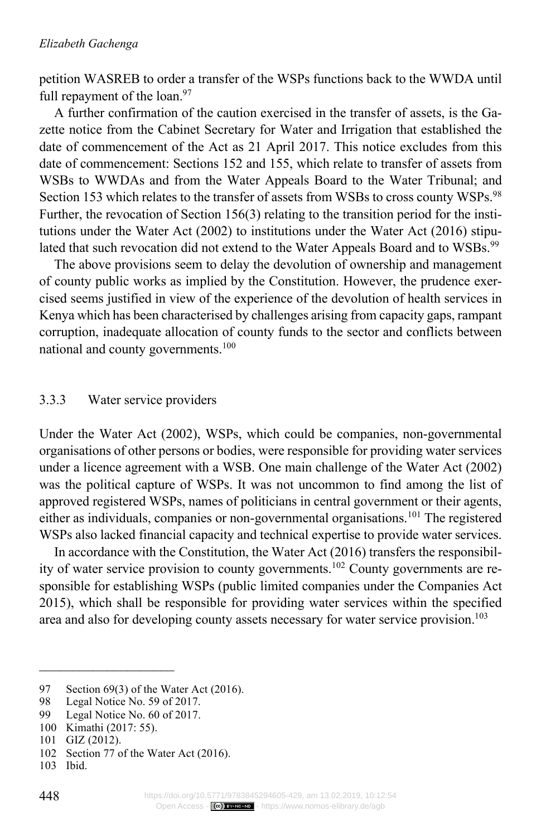petition WASREB to order a transfer of the WSPs functions back to the WWDA until full repayment of the loan.<sup>97</sup>

A further confirmation of the caution exercised in the transfer of assets, is the Gazette notice from the Cabinet Secretary for Water and Irrigation that established the date of commencement of the Act as 21 April 2017. This notice excludes from this date of commencement: Sections 152 and 155, which relate to transfer of assets from WSBs to WWDAs and from the Water Appeals Board to the Water Tribunal; and Section 153 which relates to the transfer of assets from WSBs to cross county WSPs.<sup>98</sup> Further, the revocation of Section 156(3) relating to the transition period for the institutions under the Water Act (2002) to institutions under the Water Act (2016) stipulated that such revocation did not extend to the Water Appeals Board and to WSBs.<sup>99</sup>

The above provisions seem to delay the devolution of ownership and management of county public works as implied by the Constitution. However, the prudence exercised seems justified in view of the experience of the devolution of health services in Kenya which has been characterised by challenges arising from capacity gaps, rampant corruption, inadequate allocation of county funds to the sector and conflicts between national and county governments.100

#### 3.3.3 Water service providers

Under the Water Act (2002), WSPs, which could be companies, non-governmental organisations of other persons or bodies, were responsible for providing water services under a licence agreement with a WSB. One main challenge of the Water Act (2002) was the political capture of WSPs. It was not uncommon to find among the list of approved registered WSPs, names of politicians in central government or their agents, either as individuals, companies or non-governmental organisations.101 The registered WSPs also lacked financial capacity and technical expertise to provide water services.

In accordance with the Constitution, the Water Act (2016) transfers the responsibility of water service provision to county governments.102 County governments are responsible for establishing WSPs (public limited companies under the Companies Act 2015), which shall be responsible for providing water services within the specified area and also for developing county assets necessary for water service provision.<sup>103</sup>

<sup>97</sup> Section 69(3) of the Water Act (2016).<br>98 Legal Notice No. 59 of 2017.

Legal Notice No. 59 of 2017.

<sup>99</sup> Legal Notice No. 60 of 2017.

<sup>100</sup> Kimathi (2017: 55).

<sup>101</sup> GIZ (2012).

<sup>102</sup> Section 77 of the Water Act (2016).

<sup>103</sup> Ibid.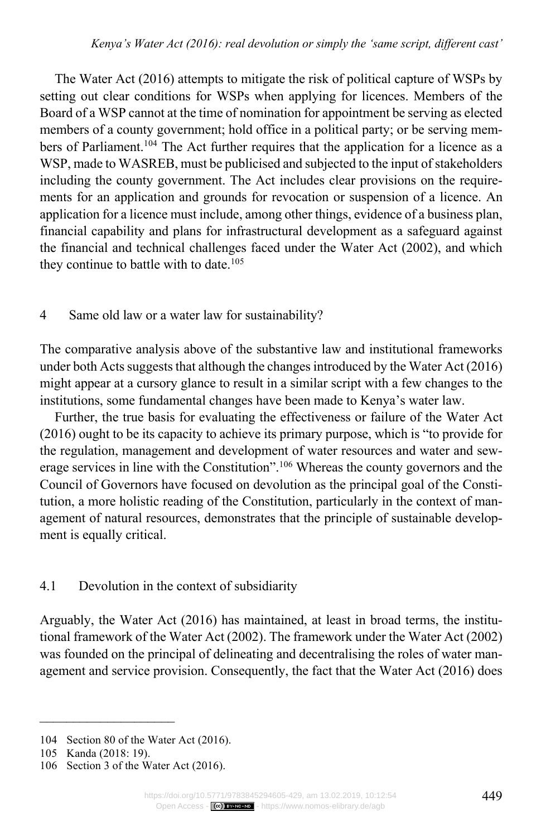The Water Act (2016) attempts to mitigate the risk of political capture of WSPs by setting out clear conditions for WSPs when applying for licences. Members of the Board of a WSP cannot at the time of nomination for appointment be serving as elected members of a county government; hold office in a political party; or be serving members of Parliament.<sup>104</sup> The Act further requires that the application for a licence as a WSP, made to WASREB, must be publicised and subjected to the input of stakeholders including the county government. The Act includes clear provisions on the requirements for an application and grounds for revocation or suspension of a licence. An application for a licence must include, among other things, evidence of a business plan, financial capability and plans for infrastructural development as a safeguard against the financial and technical challenges faced under the Water Act (2002), and which they continue to battle with to date. $105$ 

### 4 Same old law or a water law for sustainability?

The comparative analysis above of the substantive law and institutional frameworks under both Acts suggests that although the changes introduced by the Water Act (2016) might appear at a cursory glance to result in a similar script with a few changes to the institutions, some fundamental changes have been made to Kenya's water law.

Further, the true basis for evaluating the effectiveness or failure of the Water Act (2016) ought to be its capacity to achieve its primary purpose, which is "to provide for the regulation, management and development of water resources and water and sewerage services in line with the Constitution".<sup>106</sup> Whereas the county governors and the Council of Governors have focused on devolution as the principal goal of the Constitution, a more holistic reading of the Constitution, particularly in the context of management of natural resources, demonstrates that the principle of sustainable development is equally critical.

# 4.1 Devolution in the context of subsidiarity

Arguably, the Water Act (2016) has maintained, at least in broad terms, the institutional framework of the Water Act (2002). The framework under the Water Act (2002) was founded on the principal of delineating and decentralising the roles of water management and service provision. Consequently, the fact that the Water Act (2016) does

<sup>104</sup> Section 80 of the Water Act (2016).

<sup>105</sup> Kanda (2018: 19).

<sup>106</sup> Section 3 of the Water Act (2016).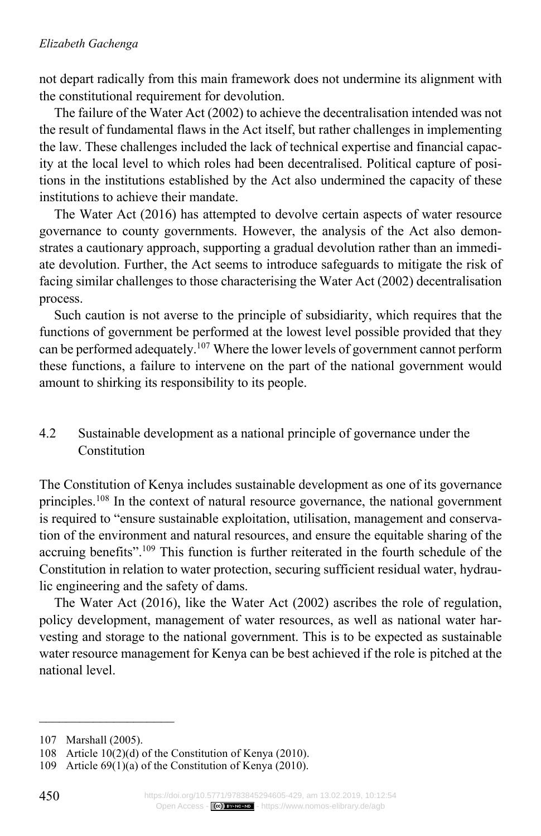### *Elizabeth Gachenga*

not depart radically from this main framework does not undermine its alignment with the constitutional requirement for devolution.

The failure of the Water Act (2002) to achieve the decentralisation intended was not the result of fundamental flaws in the Act itself, but rather challenges in implementing the law. These challenges included the lack of technical expertise and financial capacity at the local level to which roles had been decentralised. Political capture of positions in the institutions established by the Act also undermined the capacity of these institutions to achieve their mandate.

The Water Act (2016) has attempted to devolve certain aspects of water resource governance to county governments. However, the analysis of the Act also demonstrates a cautionary approach, supporting a gradual devolution rather than an immediate devolution. Further, the Act seems to introduce safeguards to mitigate the risk of facing similar challenges to those characterising the Water Act (2002) decentralisation process.

Such caution is not averse to the principle of subsidiarity, which requires that the functions of government be performed at the lowest level possible provided that they can be performed adequately.107 Where the lower levels of government cannot perform these functions, a failure to intervene on the part of the national government would amount to shirking its responsibility to its people.

# 4.2 Sustainable development as a national principle of governance under the Constitution

The Constitution of Kenya includes sustainable development as one of its governance principles.108 In the context of natural resource governance, the national government is required to "ensure sustainable exploitation, utilisation, management and conservation of the environment and natural resources, and ensure the equitable sharing of the accruing benefits".109 This function is further reiterated in the fourth schedule of the Constitution in relation to water protection, securing sufficient residual water, hydraulic engineering and the safety of dams.

The Water Act (2016), like the Water Act (2002) ascribes the role of regulation, policy development, management of water resources, as well as national water harvesting and storage to the national government. This is to be expected as sustainable water resource management for Kenya can be best achieved if the role is pitched at the national level.

<sup>107</sup> Marshall (2005).

<sup>108</sup> Article 10(2)(d) of the Constitution of Kenya (2010).

<sup>109</sup> Article 69(1)(a) of the Constitution of Kenya (2010).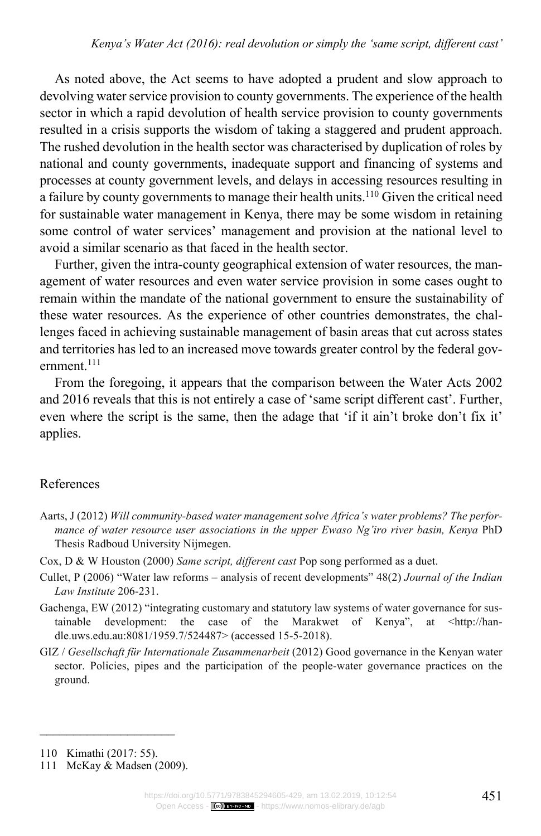As noted above, the Act seems to have adopted a prudent and slow approach to devolving water service provision to county governments. The experience of the health sector in which a rapid devolution of health service provision to county governments resulted in a crisis supports the wisdom of taking a staggered and prudent approach. The rushed devolution in the health sector was characterised by duplication of roles by national and county governments, inadequate support and financing of systems and processes at county government levels, and delays in accessing resources resulting in a failure by county governments to manage their health units.<sup>110</sup> Given the critical need for sustainable water management in Kenya, there may be some wisdom in retaining some control of water services' management and provision at the national level to avoid a similar scenario as that faced in the health sector.

Further, given the intra-county geographical extension of water resources, the management of water resources and even water service provision in some cases ought to remain within the mandate of the national government to ensure the sustainability of these water resources. As the experience of other countries demonstrates, the challenges faced in achieving sustainable management of basin areas that cut across states and territories has led to an increased move towards greater control by the federal government<sup>111</sup>

From the foregoing, it appears that the comparison between the Water Acts 2002 and 2016 reveals that this is not entirely a case of 'same script different cast'. Further, even where the script is the same, then the adage that 'if it ain't broke don't fix it' applies.

### References

- Aarts, J (2012) *Will community-based water management solve Africa's water problems? The performance of water resource user associations in the upper Ewaso Ng'iro river basin, Kenya* PhD Thesis Radboud University Nijmegen.
- Cox, D & W Houston (2000) *Same script, different cast* Pop song performed as a duet.
- Cullet, P (2006) "Water law reforms analysis of recent developments" 48(2) *Journal of the Indian Law Institute* 206-231.
- Gachenga, EW (2012) "integrating customary and statutory law systems of water governance for sustainable development: the case of the Marakwet of Kenya", at <http://handle.uws.edu.au:8081/1959.7/524487> (accessed 15-5-2018).
- GIZ / *Gesellschaft für Internationale Zusammenarbeit* (2012) Good governance in the Kenyan water sector. Policies, pipes and the participation of the people-water governance practices on the ground.

 $\frac{1}{2}$  ,  $\frac{1}{2}$  ,  $\frac{1}{2}$  ,  $\frac{1}{2}$  ,  $\frac{1}{2}$  ,  $\frac{1}{2}$  ,  $\frac{1}{2}$  ,  $\frac{1}{2}$  ,  $\frac{1}{2}$  ,  $\frac{1}{2}$  ,  $\frac{1}{2}$ 110 Kimathi (2017: 55).

<sup>111</sup> McKay & Madsen (2009).